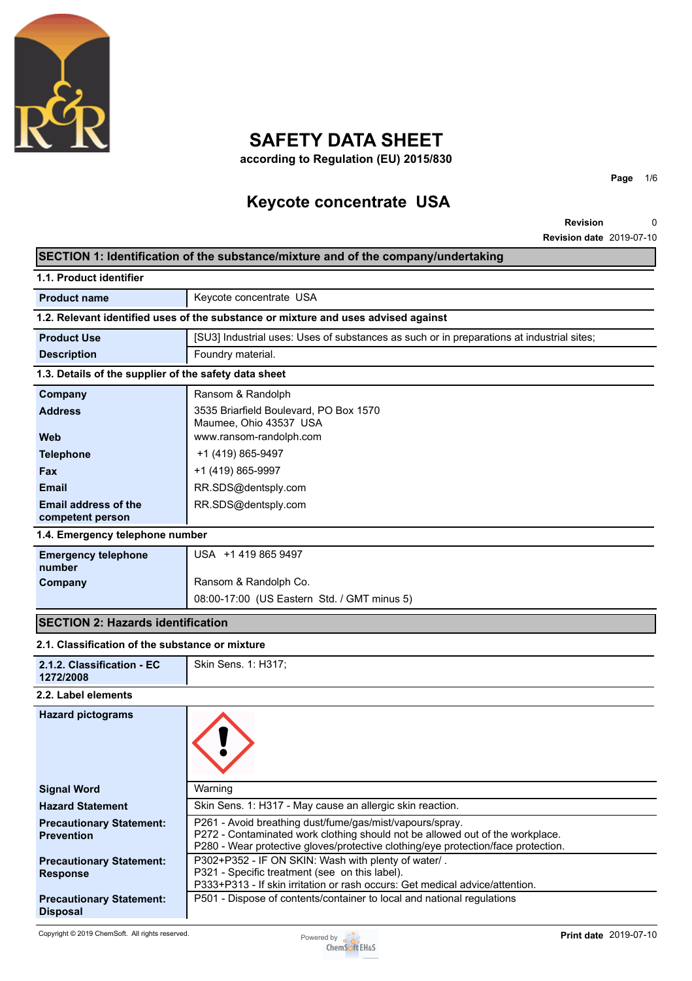

## **SAFETY DATA SHEET**

**according to Regulation (EU) 2015/830**

## **Keycote concentrate USA**

**Revision Revision date** 2019-07-10 0

**Page** 1/6

## **SECTION 1: Identification of the substance/mixture and of the company/undertaking**

| 1.1. Product identifier                               |                                                                                                                                                                                                                                |
|-------------------------------------------------------|--------------------------------------------------------------------------------------------------------------------------------------------------------------------------------------------------------------------------------|
| <b>Product name</b>                                   | Keycote concentrate USA                                                                                                                                                                                                        |
|                                                       | 1.2. Relevant identified uses of the substance or mixture and uses advised against                                                                                                                                             |
| <b>Product Use</b>                                    | [SU3] Industrial uses: Uses of substances as such or in preparations at industrial sites;                                                                                                                                      |
| <b>Description</b>                                    | Foundry material.                                                                                                                                                                                                              |
| 1.3. Details of the supplier of the safety data sheet |                                                                                                                                                                                                                                |
| Company                                               | Ransom & Randolph                                                                                                                                                                                                              |
| <b>Address</b>                                        | 3535 Briarfield Boulevard, PO Box 1570<br>Maumee, Ohio 43537 USA                                                                                                                                                               |
| Web                                                   | www.ransom-randolph.com                                                                                                                                                                                                        |
| <b>Telephone</b>                                      | +1 (419) 865-9497                                                                                                                                                                                                              |
| Fax                                                   | +1 (419) 865-9997                                                                                                                                                                                                              |
| <b>Email</b>                                          | RR.SDS@dentsply.com                                                                                                                                                                                                            |
| <b>Email address of the</b><br>competent person       | RR.SDS@dentsply.com                                                                                                                                                                                                            |
| 1.4. Emergency telephone number                       |                                                                                                                                                                                                                                |
| <b>Emergency telephone</b><br>number                  | USA +1 419 865 9497                                                                                                                                                                                                            |
| Company                                               | Ransom & Randolph Co.                                                                                                                                                                                                          |
|                                                       | 08:00-17:00 (US Eastern Std. / GMT minus 5)                                                                                                                                                                                    |
| <b>SECTION 2: Hazards identification</b>              |                                                                                                                                                                                                                                |
| 2.1. Classification of the substance or mixture       |                                                                                                                                                                                                                                |
| 2.1.2. Classification - EC<br>1272/2008               | Skin Sens. 1: H317;                                                                                                                                                                                                            |
| 2.2. Label elements                                   |                                                                                                                                                                                                                                |
| <b>Hazard pictograms</b>                              |                                                                                                                                                                                                                                |
| <b>Signal Word</b>                                    | Warning                                                                                                                                                                                                                        |
| <b>Hazard Statement</b>                               | Skin Sens. 1: H317 - May cause an allergic skin reaction.                                                                                                                                                                      |
| <b>Precautionary Statement:</b><br><b>Prevention</b>  | P261 - Avoid breathing dust/fume/gas/mist/vapours/spray.<br>P272 - Contaminated work clothing should not be allowed out of the workplace.<br>P280 - Wear protective gloves/protective clothing/eye protection/face protection. |
| <b>Precautionary Statement:</b><br><b>Response</b>    | P302+P352 - IF ON SKIN: Wash with plenty of water/.<br>P321 - Specific treatment (see on this label).<br>P333+P313 - If skin irritation or rash occurs: Get medical advice/attention.                                          |
| <b>Precautionary Statement:</b><br><b>Disposal</b>    | P501 - Dispose of contents/container to local and national regulations                                                                                                                                                         |

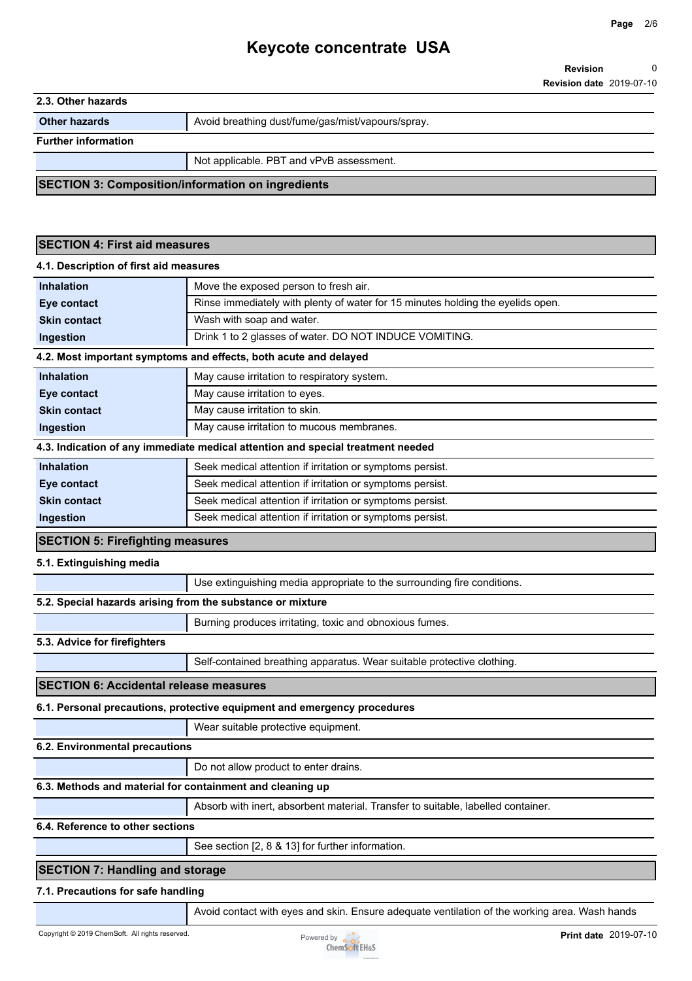|                                                            | <b>Revision date 2019-07-10</b>                                                               |
|------------------------------------------------------------|-----------------------------------------------------------------------------------------------|
| 2.3. Other hazards                                         |                                                                                               |
| <b>Other hazards</b>                                       | Avoid breathing dust/fume/gas/mist/vapours/spray.                                             |
| <b>Further information</b>                                 |                                                                                               |
|                                                            | Not applicable. PBT and vPvB assessment.                                                      |
| <b>SECTION 3: Composition/information on ingredients</b>   |                                                                                               |
|                                                            |                                                                                               |
|                                                            |                                                                                               |
| <b>SECTION 4: First aid measures</b>                       |                                                                                               |
| 4.1. Description of first aid measures                     |                                                                                               |
| <b>Inhalation</b>                                          | Move the exposed person to fresh air.                                                         |
| Eye contact                                                | Rinse immediately with plenty of water for 15 minutes holding the eyelids open.               |
| <b>Skin contact</b>                                        | Wash with soap and water.                                                                     |
| Ingestion                                                  | Drink 1 to 2 glasses of water. DO NOT INDUCE VOMITING.                                        |
|                                                            | 4.2. Most important symptoms and effects, both acute and delayed                              |
| <b>Inhalation</b>                                          | May cause irritation to respiratory system.                                                   |
| Eye contact                                                | May cause irritation to eyes.                                                                 |
| <b>Skin contact</b>                                        | May cause irritation to skin.                                                                 |
| Ingestion                                                  | May cause irritation to mucous membranes.                                                     |
|                                                            | 4.3. Indication of any immediate medical attention and special treatment needed               |
| <b>Inhalation</b>                                          | Seek medical attention if irritation or symptoms persist.                                     |
| Eye contact                                                | Seek medical attention if irritation or symptoms persist.                                     |
| <b>Skin contact</b>                                        | Seek medical attention if irritation or symptoms persist.                                     |
| Ingestion                                                  | Seek medical attention if irritation or symptoms persist.                                     |
| <b>SECTION 5: Firefighting measures</b>                    |                                                                                               |
| 5.1. Extinguishing media                                   |                                                                                               |
|                                                            | Use extinguishing media appropriate to the surrounding fire conditions.                       |
| 5.2. Special hazards arising from the substance or mixture |                                                                                               |
|                                                            | Burning produces irritating, toxic and obnoxious fumes.                                       |
| 5.3. Advice for firefighters                               |                                                                                               |
|                                                            | Self-contained breathing apparatus. Wear suitable protective clothing.                        |
| <b>SECTION 6: Accidental release measures</b>              |                                                                                               |
|                                                            | 6.1. Personal precautions, protective equipment and emergency procedures                      |
|                                                            | Wear suitable protective equipment.                                                           |
| 6.2. Environmental precautions                             |                                                                                               |
|                                                            | Do not allow product to enter drains.                                                         |
|                                                            | 6.3. Methods and material for containment and cleaning up                                     |
|                                                            | Absorb with inert, absorbent material. Transfer to suitable, labelled container.              |
| 6.4. Reference to other sections                           |                                                                                               |
|                                                            | See section [2, 8 & 13] for further information.                                              |
|                                                            |                                                                                               |
| <b>SECTION 7: Handling and storage</b>                     |                                                                                               |
| 7.1. Precautions for safe handling                         |                                                                                               |
|                                                            | Avoid contact with eyes and skin. Ensure adequate ventilation of the working area. Wash hands |

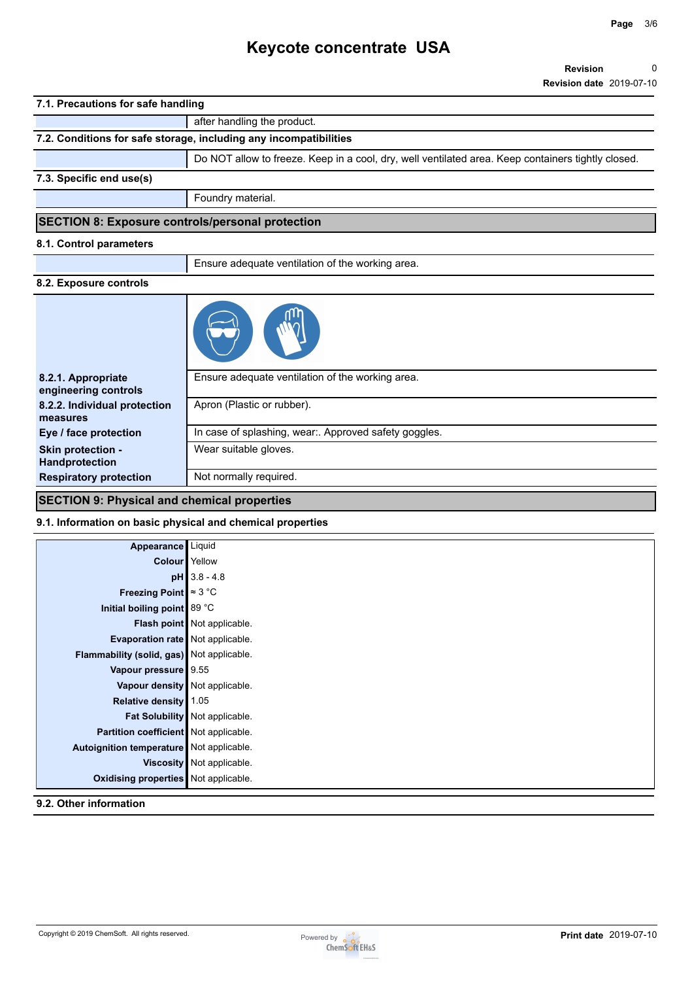### **7.1. Precautions for safe handling**

|                                                         | after handling the product.                                                                        |
|---------------------------------------------------------|----------------------------------------------------------------------------------------------------|
|                                                         | 7.2. Conditions for safe storage, including any incompatibilities                                  |
|                                                         | Do NOT allow to freeze. Keep in a cool, dry, well ventilated area. Keep containers tightly closed. |
| 7.3. Specific end use(s)                                |                                                                                                    |
|                                                         | Foundry material.                                                                                  |
| <b>SECTION 8: Exposure controls/personal protection</b> |                                                                                                    |
| 8.1. Control parameters                                 |                                                                                                    |
|                                                         | Ensure adequate ventilation of the working area.                                                   |
| 8.2. Exposure controls                                  |                                                                                                    |
|                                                         |                                                                                                    |
| 8.2.1. Appropriate                                      | Ensure adequate ventilation of the working area.                                                   |

| engineering controls          |                                                       |
|-------------------------------|-------------------------------------------------------|
| 8.2.2. Individual protection  | Apron (Plastic or rubber).                            |
| measures                      |                                                       |
| Eye / face protection         | In case of splashing, wear:. Approved safety goggles. |
| <b>Skin protection -</b>      | Wear suitable gloves.                                 |
| <b>Handprotection</b>         |                                                       |
| <b>Respiratory protection</b> | Not normally required.                                |

### **SECTION 9: Physical and chemical properties**

#### **9.1. Information on basic physical and chemical properties**

| Appearance Liquid                           |                                |
|---------------------------------------------|--------------------------------|
| <b>Colour</b> Yellow                        |                                |
|                                             | $pH$ 3.8 - 4.8                 |
| Freezing Point $\approx 3$ °C               |                                |
| Initial boiling point 89 °C                 |                                |
|                                             | Flash point Not applicable.    |
| Evaporation rate Not applicable.            |                                |
| Flammability (solid, gas) Not applicable.   |                                |
| Vapour pressure   9.55                      |                                |
| Vapour density   Not applicable.            |                                |
| Relative density 1.05                       |                                |
|                                             | Fat Solubility Not applicable. |
| Partition coefficient Not applicable.       |                                |
| Autoignition temperature Not applicable.    |                                |
|                                             | Viscosity   Not applicable.    |
| <b>Oxidising properties</b> Not applicable. |                                |

#### **9.2. Other information**

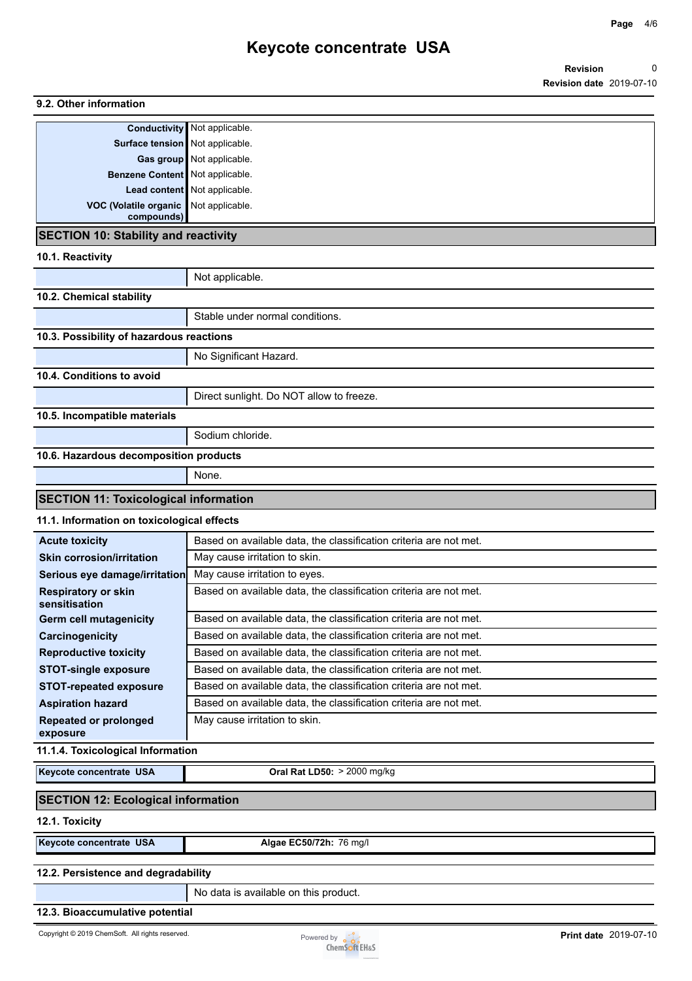### **9.2. Other information**

|                                       | <b>Conductivity</b> Not applicable. |
|---------------------------------------|-------------------------------------|
| Surface tension Not applicable.       |                                     |
|                                       | Gas group Not applicable.           |
| Benzene Content Not applicable.       |                                     |
|                                       | Lead content Not applicable.        |
| VOC (Volatile organic Not applicable. |                                     |
| compounds)                            |                                     |

#### **SECTION 10: Stability and reactivity**

#### **10.1. Reactivity**

|                                              | Not applicable.                          |  |
|----------------------------------------------|------------------------------------------|--|
| 10.2. Chemical stability                     |                                          |  |
|                                              | Stable under normal conditions.          |  |
| 10.3. Possibility of hazardous reactions     |                                          |  |
|                                              | No Significant Hazard.                   |  |
| 10.4. Conditions to avoid                    |                                          |  |
|                                              | Direct sunlight. Do NOT allow to freeze. |  |
| 10.5. Incompatible materials                 |                                          |  |
|                                              | Sodium chloride.                         |  |
| 10.6. Hazardous decomposition products       |                                          |  |
|                                              | None.                                    |  |
| <b>SECTION 11: Toxicological information</b> |                                          |  |
| 11.1. Information on toxicological effects   |                                          |  |

| <b>Acute toxicity</b>            | Based on available data, the classification criteria are not met. |
|----------------------------------|-------------------------------------------------------------------|
| <b>Skin corrosion/irritation</b> | May cause irritation to skin.                                     |
| Serious eye damage/irritation    | May cause irritation to eyes.                                     |
| <b>Respiratory or skin</b>       | Based on available data, the classification criteria are not met. |
| sensitisation                    |                                                                   |
| <b>Germ cell mutagenicity</b>    | Based on available data, the classification criteria are not met. |
| Carcinogenicity                  | Based on available data, the classification criteria are not met. |
| <b>Reproductive toxicity</b>     | Based on available data, the classification criteria are not met. |
| <b>STOT-single exposure</b>      | Based on available data, the classification criteria are not met. |
| <b>STOT-repeated exposure</b>    | Based on available data, the classification criteria are not met. |
| <b>Aspiration hazard</b>         | Based on available data, the classification criteria are not met. |
| <b>Repeated or prolonged</b>     | May cause irritation to skin.                                     |
| exposure                         |                                                                   |

#### **11.1.4. Toxicological Information**

**Keycote concentrate USA Oral Rat LD50:** > 2000 mg/kg

### **SECTION 12: Ecological information**

#### **12.1. Toxicity**

**Keycote concentrate USA Algae EC50/72h:** 76 mg/l

#### **12.2. Persistence and degradability**

No data is available on this product.

#### **12.3. Bioaccumulative potential**

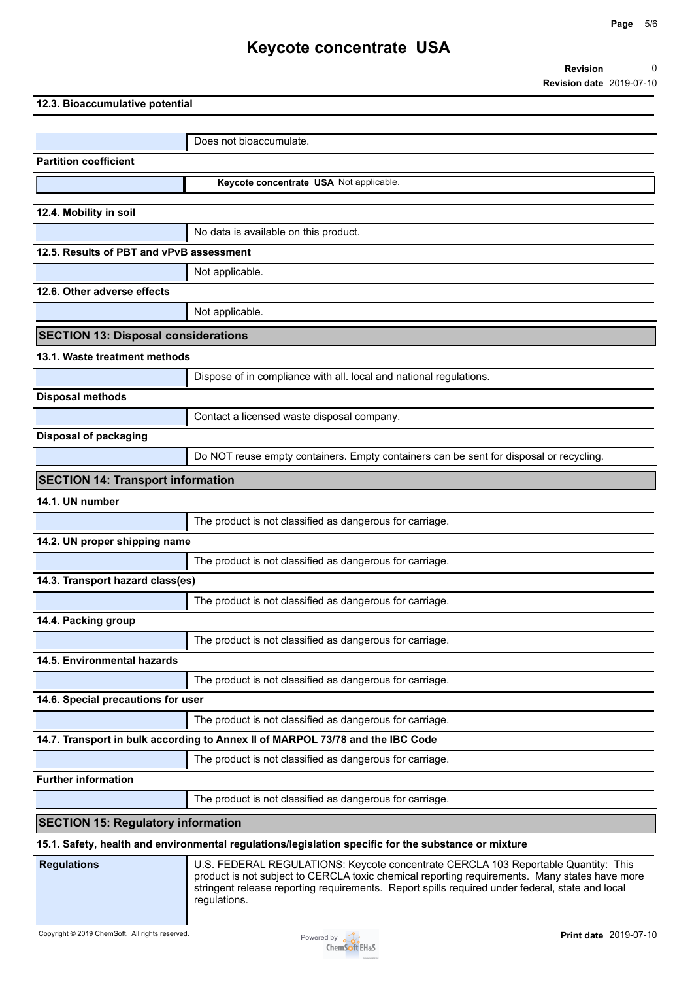|                                            | <b>Revision date 2019-07-10</b>                                                                                                                                                                                                                                                                        |
|--------------------------------------------|--------------------------------------------------------------------------------------------------------------------------------------------------------------------------------------------------------------------------------------------------------------------------------------------------------|
| 12.3. Bioaccumulative potential            |                                                                                                                                                                                                                                                                                                        |
|                                            |                                                                                                                                                                                                                                                                                                        |
|                                            | Does not bioaccumulate.                                                                                                                                                                                                                                                                                |
| <b>Partition coefficient</b>               |                                                                                                                                                                                                                                                                                                        |
|                                            | Keycote concentrate USA Not applicable.                                                                                                                                                                                                                                                                |
| 12.4. Mobility in soil                     |                                                                                                                                                                                                                                                                                                        |
|                                            | No data is available on this product.                                                                                                                                                                                                                                                                  |
| 12.5. Results of PBT and vPvB assessment   |                                                                                                                                                                                                                                                                                                        |
|                                            | Not applicable.                                                                                                                                                                                                                                                                                        |
| 12.6. Other adverse effects                |                                                                                                                                                                                                                                                                                                        |
|                                            | Not applicable.                                                                                                                                                                                                                                                                                        |
| <b>SECTION 13: Disposal considerations</b> |                                                                                                                                                                                                                                                                                                        |
|                                            |                                                                                                                                                                                                                                                                                                        |
| 13.1. Waste treatment methods              |                                                                                                                                                                                                                                                                                                        |
|                                            | Dispose of in compliance with all. local and national regulations.                                                                                                                                                                                                                                     |
| Disposal methods                           |                                                                                                                                                                                                                                                                                                        |
|                                            | Contact a licensed waste disposal company.                                                                                                                                                                                                                                                             |
| <b>Disposal of packaging</b>               |                                                                                                                                                                                                                                                                                                        |
|                                            | Do NOT reuse empty containers. Empty containers can be sent for disposal or recycling.                                                                                                                                                                                                                 |
| <b>SECTION 14: Transport information</b>   |                                                                                                                                                                                                                                                                                                        |
| 14.1. UN number                            |                                                                                                                                                                                                                                                                                                        |
|                                            | The product is not classified as dangerous for carriage.                                                                                                                                                                                                                                               |
| 14.2. UN proper shipping name              |                                                                                                                                                                                                                                                                                                        |
|                                            | The product is not classified as dangerous for carriage.                                                                                                                                                                                                                                               |
| 14.3. Transport hazard class(es)           |                                                                                                                                                                                                                                                                                                        |
|                                            | The product is not classified as dangerous for carriage.                                                                                                                                                                                                                                               |
| 14.4. Packing group                        |                                                                                                                                                                                                                                                                                                        |
|                                            | The product is not classified as dangerous for carriage.                                                                                                                                                                                                                                               |
| 14.5. Environmental hazards                |                                                                                                                                                                                                                                                                                                        |
|                                            | The product is not classified as dangerous for carriage.                                                                                                                                                                                                                                               |
| 14.6. Special precautions for user         |                                                                                                                                                                                                                                                                                                        |
|                                            | The product is not classified as dangerous for carriage.                                                                                                                                                                                                                                               |
|                                            | 14.7. Transport in bulk according to Annex II of MARPOL 73/78 and the IBC Code                                                                                                                                                                                                                         |
|                                            | The product is not classified as dangerous for carriage.                                                                                                                                                                                                                                               |
| <b>Further information</b>                 |                                                                                                                                                                                                                                                                                                        |
|                                            | The product is not classified as dangerous for carriage.                                                                                                                                                                                                                                               |
| <b>SECTION 15: Regulatory information</b>  |                                                                                                                                                                                                                                                                                                        |
|                                            | 15.1. Safety, health and environmental regulations/legislation specific for the substance or mixture                                                                                                                                                                                                   |
| <b>Regulations</b>                         | U.S. FEDERAL REGULATIONS: Keycote concentrate CERCLA 103 Reportable Quantity: This<br>product is not subject to CERCLA toxic chemical reporting requirements. Many states have more<br>stringent release reporting requirements. Report spills required under federal, state and local<br>regulations. |